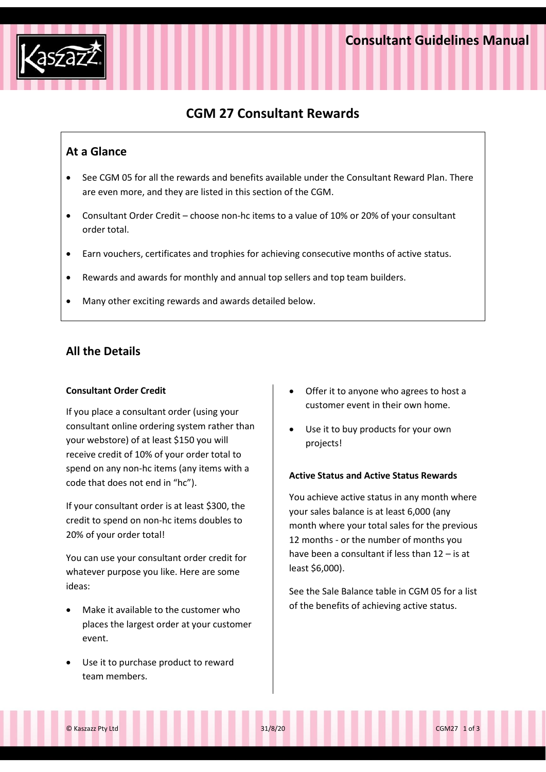

# **CGM 27 Consultant Rewards**

# **At a Glance**

- See CGM 05 for all the rewards and benefits available under the Consultant Reward Plan. There are even more, and they are listed in this section of the CGM.
- Consultant Order Credit choose non-hc items to a value of 10% or 20% of your consultant order total.
- Earn vouchers, certificates and trophies for achieving consecutive months of active status.
- Rewards and awards for monthly and annual top sellers and top team builders.
- Many other exciting rewards and awards detailed below.

# **All the Details**

## **Consultant Order Credit**

If you place a consultant order (using your consultant online ordering system rather than your webstore) of at least \$150 you will receive credit of 10% of your order total to spend on any non-hc items (any items with a code that does not end in "hc").

If your consultant order is at least \$300, the credit to spend on non-hc items doubles to 20% of your order total!

You can use your consultant order credit for whatever purpose you like. Here are some ideas:

- Make it available to the customer who places the largest order at your customer event.
- Use it to purchase product to reward team members.
- Offer it to anyone who agrees to host a customer event in their own home.
- Use it to buy products for your own projects!

## **Active Status and Active Status Rewards**

You achieve active status in any month where your sales balance is at least 6,000 (any month where your total sales for the previous 12 months - or the number of months you have been a consultant if less than 12 – is at least \$6,000).

See the Sale Balance table in CGM 05 for a list of the benefits of achieving active status.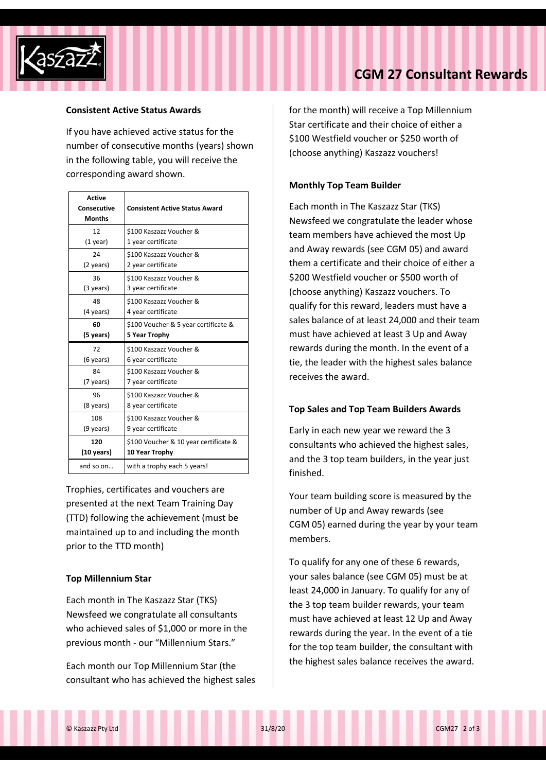

#### **Consistent Active Status Awards**

If you have achieved active status for the number of consecutive months (years) shown in the following table, you will receive the corresponding award shown.

| <b>Active</b> |                                       |  |
|---------------|---------------------------------------|--|
| Consecutive   | <b>Consistent Active Status Award</b> |  |
| <b>Months</b> |                                       |  |
| 12            | \$100 Kaszazz Voucher &               |  |
| $(1$ year)    | 1 year certificate                    |  |
| 24            | \$100 Kaszazz Voucher &               |  |
| (2 years)     | 2 year certificate                    |  |
| 36            | \$100 Kaszazz Voucher &               |  |
| (3 years)     | 3 year certificate                    |  |
| 48            | \$100 Kaszazz Voucher &               |  |
| (4 years)     | 4 year certificate                    |  |
| 60            | \$100 Voucher & 5 year certificate &  |  |
| (5 years)     | 5 Year Trophy                         |  |
| 72            | \$100 Kaszazz Voucher &               |  |
| (6 years)     | 6 year certificate                    |  |
| 84            | \$100 Kaszazz Voucher &               |  |
| (7 years)     | 7 year certificate                    |  |
| 96            | \$100 Kaszazz Voucher &               |  |
| (8 years)     | 8 year certificate                    |  |
| 108           | \$100 Kaszazz Voucher &               |  |
| (9 years)     | 9 year certificate                    |  |
| 120           | \$100 Voucher & 10 year certificate & |  |
| (10 years)    | 10 Year Trophy                        |  |
| and so on     | with a trophy each 5 years!           |  |

Trophies, certificates and vouchers are presented at the next Team Training Day (TTD) following the achievement (must be maintained up to and including the month prior to the TTD month)

## **Top Millennium Star**

Each month in The Kaszazz Star (TKS) Newsfeed we congratulate all consultants who achieved sales of \$1,000 or more in the previous month - our "Millennium Stars."

Each month our Top Millennium Star (the consultant who has achieved the highest sales for the month) will receive a Top Millennium Star certificate and their choice of either a \$100 Westfield voucher or \$250 worth of (choose anything) Kaszazz vouchers!

#### **Monthly Top Team Builder**

Each month in The Kaszazz Star (TKS) Newsfeed we congratulate the leader whose team members have achieved the most Up and Away rewards (see CGM 05) and award them a certificate and their choice of either a \$200 Westfield voucher or \$500 worth of (choose anything) Kaszazz vouchers. To qualify for this reward, leaders must have a sales balance of at least 24,000 and their team must have achieved at least 3 Up and Away rewards during the month. In the event of a tie, the leader with the highest sales balance receives the award.

## **Top Sales and Top Team Builders Awards**

Early in each new year we reward the 3 consultants who achieved the highest sales, and the 3 top team builders, in the year just finished.

Your team building score is measured by the number of Up and Away rewards (see CGM 05) earned during the year by your team members.

To qualify for any one of these 6 rewards, your sales balance (see CGM 05) must be at least 24,000 in January. To qualify for any of the 3 top team builder rewards, your team must have achieved at least 12 Up and Away rewards during the year. In the event of a tie for the top team builder, the consultant with the highest sales balance receives the award.